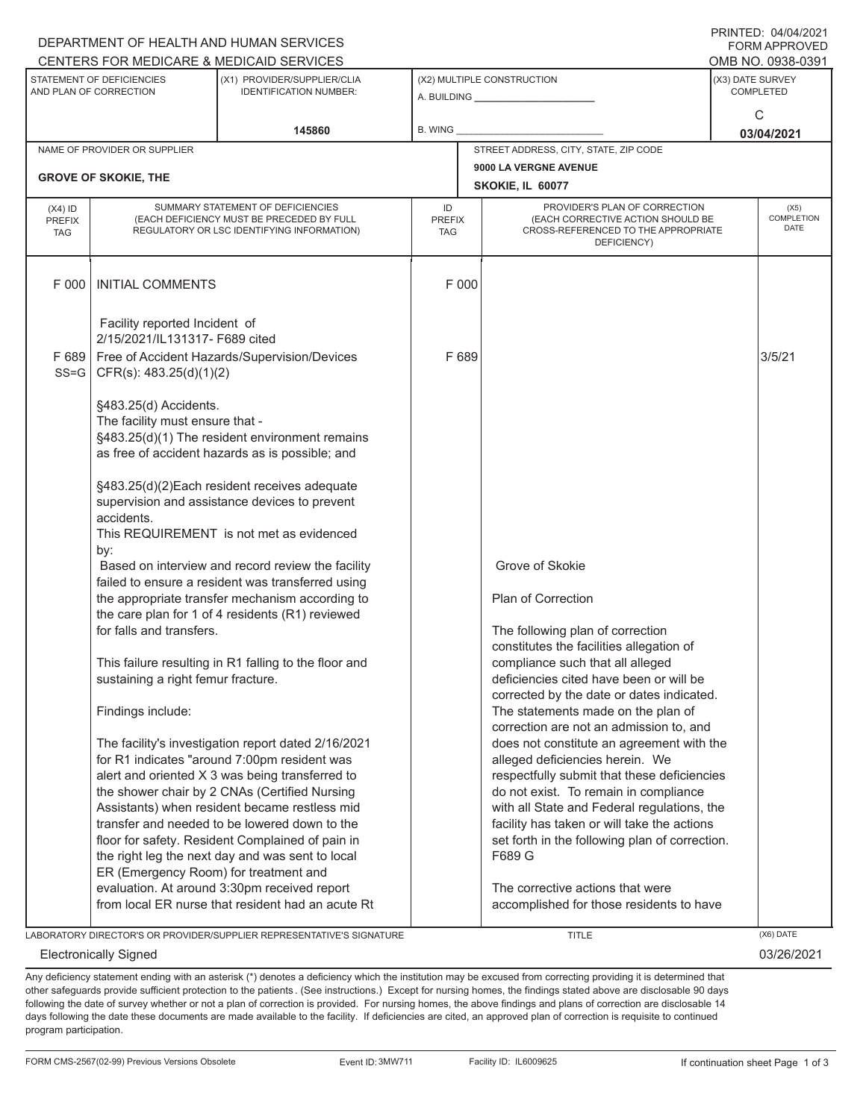## A. BUILDING **\_\_\_\_\_\_\_\_\_\_\_\_\_\_\_\_\_\_\_\_\_\_** (X1) PROVIDER/SUPPLIER/CLIA IDENTIFICATION NUMBER: STATEMENT OF DEFICIENCIES AND PLAN OF CORRECTION (X3) DATE SURVEY COMPLETED FORM APPROVED<br>OMB NO. 0938-0391 (X2) MULTIPLE CONSTRUCTION R. WING CENTERS FOR MEDICARE & MEDICAID SERVICES **145860 03/04/2021**  $\Omega$ NAME OF PROVIDER OR SUPPLIER STREET ADDRESS, CITY, STATE, ZIP CODE **9000 LA VERGNE AVENUE GROVE OF SKOKIE, THE SKOKIE, IL 60077** PROVIDER'S PLAN OF CORRECTION (EACH CORRECTIVE ACTION SHOULD BE CROSS-REFERENCED TO THE APPROPRIATE DEFICIENCY) (X5) **COMPLETION** DATE ID PREFIX **TAG** (X4) ID PREFIX TAG SUMMARY STATEMENT OF DEFICIENCIES (EACH DEFICIENCY MUST BE PRECEDED BY FULL REGULATORY OR LSC IDENTIFYING INFORMATION) F 000 INITIAL COMMENTS F 000 Facility reported Incident of 2/15/2021/IL131317- F689 cited F 689 Free of Accident Hazards/Supervision/Devices CFR(s): 483.25(d)(1)(2) §483.25(d) Accidents. The facility must ensure that - §483.25(d)(1) The resident environment remains as free of accident hazards as is possible; and §483.25(d)(2)Each resident receives adequate supervision and assistance devices to prevent accidents. This REQUIREMENT is not met as evidenced by:  $F 689$  3/5/21 SS=G Based on interview and record review the facility failed to ensure a resident was transferred using the appropriate transfer mechanism according to the care plan for 1 of 4 residents (R1) reviewed for falls and transfers. This failure resulting in R1 falling to the floor and sustaining a right femur fracture. Findings include: The facility's investigation report dated 2/16/2021 for R1 indicates "around 7:00pm resident was alert and oriented X 3 was being transferred to the shower chair by 2 CNAs (Certified Nursing Assistants) when resident became restless mid transfer and needed to be lowered down to the floor for safety. Resident Complained of pain in the right leg the next day and was sent to local ER (Emergency Room) for treatment and evaluation. At around 3:30pm received report from local ER nurse that resident had an acute Rt Grove of Skokie Plan of Correction The following plan of correction constitutes the facilities allegation of compliance such that all alleged deficiencies cited have been or will be corrected by the date or dates indicated. The statements made on the plan of correction are not an admission to, and does not constitute an agreement with the alleged deficiencies herein. We respectfully submit that these deficiencies do not exist. To remain in compliance with all State and Federal regulations, the facility has taken or will take the actions set forth in the following plan of correction. F689 G The corrective actions that were accomplished for those residents to have LABORATORY DIRECTOR'S OR PROVIDER/SUPPLIER REPRESENTATIVE'S SIGNATURE TITLE (X6) DATE

Electronically Signed 03/26/2021

Any deficiency statement ending with an asterisk (\*) denotes a deficiency which the institution may be excused from correcting providing it is determined that other safeguards provide sufficient protection to the patients . (See instructions.) Except for nursing homes, the findings stated above are disclosable 90 days following the date of survey whether or not a plan of correction is provided. For nursing homes, the above findings and plans of correction are disclosable 14 days following the date these documents are made available to the facility. If deficiencies are cited, an approved plan of correction is requisite to continued program participation.

DEPARTMENT OF HEALTH AND HUMAN SERVICES

PRINTED: 04/04/2021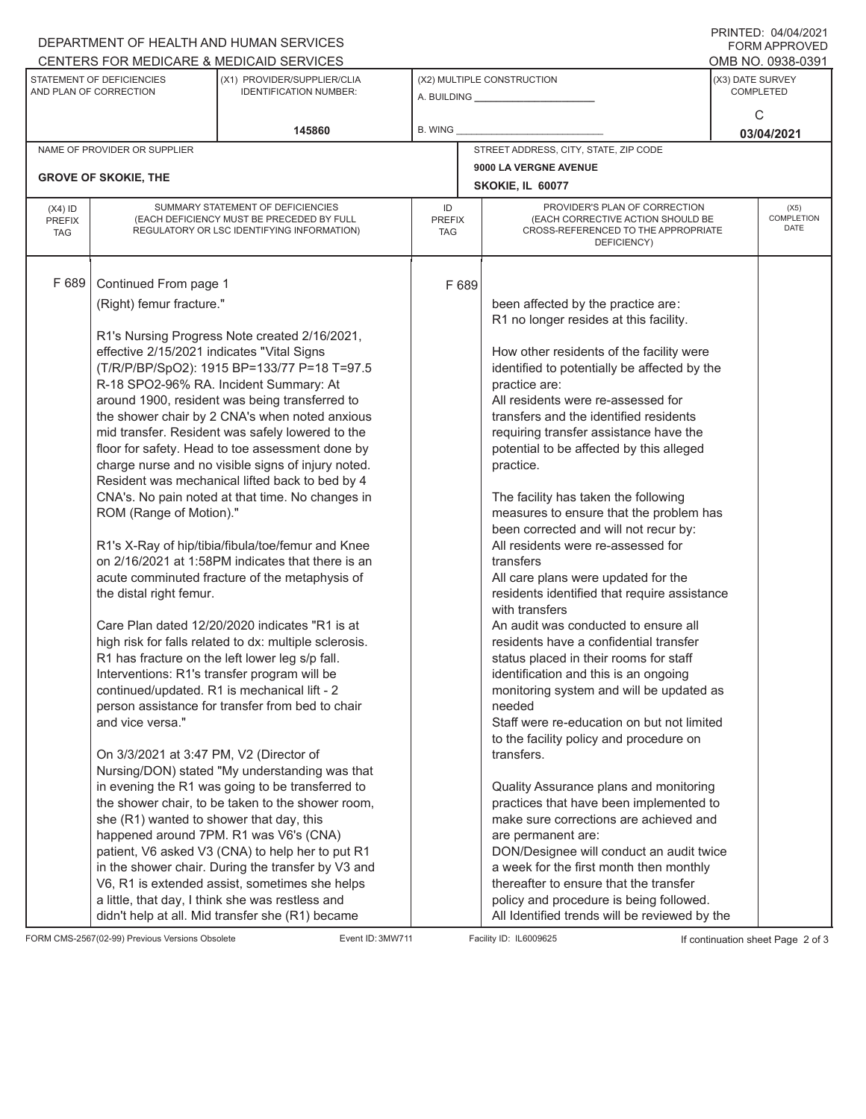## A. BUILDING **\_\_\_\_\_\_\_\_\_\_\_\_\_\_\_\_\_\_\_\_\_\_** (X1) PROVIDER/SUPPLIER/CLIA IDENTIFICATION NUMBER: STATEMENT OF DEFICIENCIES AND PLAN OF CORRECTION (X3) DATE SURVEY COMPLETED FORM APPROVED<br>OMB NO. 0938-0391 (X2) MULTIPLE CONSTRUCTION R. WING DEPARTMENT OF HEALTH AND HUMAN SERVICES CENTERS FOR MEDICARE & MEDICAID SERVICES **145860 03/04/2021**  $\Omega$ NAME OF PROVIDER OR SUPPLIER STREET ADDRESS, CITY, STATE, ZIP CODE **9000 LA VERGNE AVENUE GROVE OF SKOKIE, THE SKOKIE, IL 60077** PROVIDER'S PLAN OF CORRECTION (EACH CORRECTIVE ACTION SHOULD BE CROSS-REFERENCED TO THE APPROPRIATE DEFICIENCY) (X5) **COMPLETION** DATE ID PREFIX **TAG** (X4) ID PREFIX TAG SUMMARY STATEMENT OF DEFICIENCIES (EACH DEFICIENCY MUST BE PRECEDED BY FULL REGULATORY OR LSC IDENTIFYING INFORMATION) F 689 Continued From page 1 F 689 (Right) femur fracture." R1's Nursing Progress Note created 2/16/2021, effective 2/15/2021 indicates "Vital Signs (T/R/P/BP/SpO2): 1915 BP=133/77 P=18 T=97.5 R-18 SPO2-96% RA. Incident Summary: At around 1900, resident was being transferred to the shower chair by 2 CNA's when noted anxious mid transfer. Resident was safely lowered to the floor for safety. Head to toe assessment done by charge nurse and no visible signs of injury noted. Resident was mechanical lifted back to bed by 4 CNA's. No pain noted at that time. No changes in ROM (Range of Motion)." R1's X-Ray of hip/tibia/fibula/toe/femur and Knee on 2/16/2021 at 1:58PM indicates that there is an acute comminuted fracture of the metaphysis of the distal right femur. Care Plan dated 12/20/2020 indicates "R1 is at high risk for falls related to dx: multiple sclerosis. R1 has fracture on the left lower leg s/p fall. Interventions: R1's transfer program will be continued/updated. R1 is mechanical lift - 2 person assistance for transfer from bed to chair and vice versa." On 3/3/2021 at 3:47 PM, V2 (Director of Nursing/DON) stated "My understanding was that in evening the R1 was going to be transferred to the shower chair, to be taken to the shower room, she (R1) wanted to shower that day, this happened around 7PM. R1 was V6's (CNA) patient, V6 asked V3 (CNA) to help her to put R1 in the shower chair. During the transfer by V3 and V6, R1 is extended assist, sometimes she helps a little, that day, I think she was restless and didn't help at all. Mid transfer she (R1) became been affected by the practice are: R1 no longer resides at this facility. How other residents of the facility were identified to potentially be affected by the practice are: All residents were re-assessed for transfers and the identified residents requiring transfer assistance have the potential to be affected by this alleged practice. The facility has taken the following measures to ensure that the problem has been corrected and will not recur by: All residents were re-assessed for transfers All care plans were updated for the residents identified that require assistance with transfers An audit was conducted to ensure all residents have a confidential transfer status placed in their rooms for staff identification and this is an ongoing monitoring system and will be updated as needed Staff were re-education on but not limited to the facility policy and procedure on transfers. Quality Assurance plans and monitoring practices that have been implemented to make sure corrections are achieved and are permanent are: DON/Designee will conduct an audit twice a week for the first month then monthly thereafter to ensure that the transfer policy and procedure is being followed. All Identified trends will be reviewed by the

FORM CMS-2567(02-99) Previous Versions Obsolete Event ID: 3MW711 Facility ID: IL6009625 If continuation sheet Page 2 of 3

PRINTED: 04/04/2021